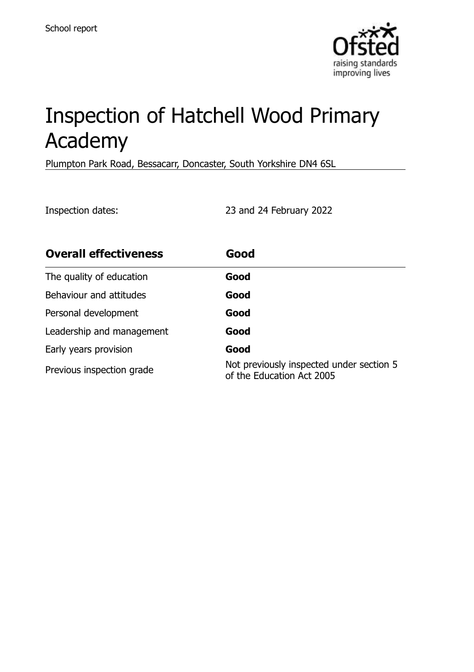

# Inspection of Hatchell Wood Primary Academy

Plumpton Park Road, Bessacarr, Doncaster, South Yorkshire DN4 6SL

Inspection dates: 23 and 24 February 2022

| <b>Overall effectiveness</b> | Good                                                                  |
|------------------------------|-----------------------------------------------------------------------|
| The quality of education     | Good                                                                  |
| Behaviour and attitudes      | Good                                                                  |
| Personal development         | Good                                                                  |
| Leadership and management    | Good                                                                  |
| Early years provision        | Good                                                                  |
| Previous inspection grade    | Not previously inspected under section 5<br>of the Education Act 2005 |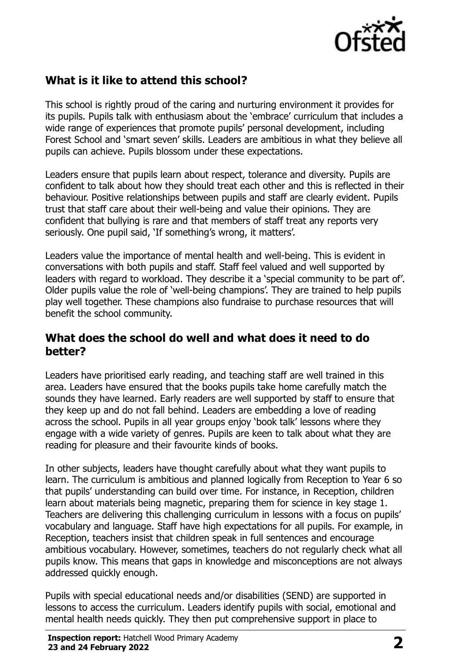

## **What is it like to attend this school?**

This school is rightly proud of the caring and nurturing environment it provides for its pupils. Pupils talk with enthusiasm about the 'embrace' curriculum that includes a wide range of experiences that promote pupils' personal development, including Forest School and 'smart seven' skills. Leaders are ambitious in what they believe all pupils can achieve. Pupils blossom under these expectations.

Leaders ensure that pupils learn about respect, tolerance and diversity. Pupils are confident to talk about how they should treat each other and this is reflected in their behaviour. Positive relationships between pupils and staff are clearly evident. Pupils trust that staff care about their well-being and value their opinions. They are confident that bullying is rare and that members of staff treat any reports very seriously. One pupil said, 'If something's wrong, it matters'.

Leaders value the importance of mental health and well-being. This is evident in conversations with both pupils and staff. Staff feel valued and well supported by leaders with regard to workload. They describe it a 'special community to be part of'. Older pupils value the role of 'well-being champions'. They are trained to help pupils play well together. These champions also fundraise to purchase resources that will benefit the school community.

#### **What does the school do well and what does it need to do better?**

Leaders have prioritised early reading, and teaching staff are well trained in this area. Leaders have ensured that the books pupils take home carefully match the sounds they have learned. Early readers are well supported by staff to ensure that they keep up and do not fall behind. Leaders are embedding a love of reading across the school. Pupils in all year groups enjoy 'book talk' lessons where they engage with a wide variety of genres. Pupils are keen to talk about what they are reading for pleasure and their favourite kinds of books.

In other subjects, leaders have thought carefully about what they want pupils to learn. The curriculum is ambitious and planned logically from Reception to Year 6 so that pupils' understanding can build over time. For instance, in Reception, children learn about materials being magnetic, preparing them for science in key stage 1. Teachers are delivering this challenging curriculum in lessons with a focus on pupils' vocabulary and language. Staff have high expectations for all pupils. For example, in Reception, teachers insist that children speak in full sentences and encourage ambitious vocabulary. However, sometimes, teachers do not regularly check what all pupils know. This means that gaps in knowledge and misconceptions are not always addressed quickly enough.

Pupils with special educational needs and/or disabilities (SEND) are supported in lessons to access the curriculum. Leaders identify pupils with social, emotional and mental health needs quickly. They then put comprehensive support in place to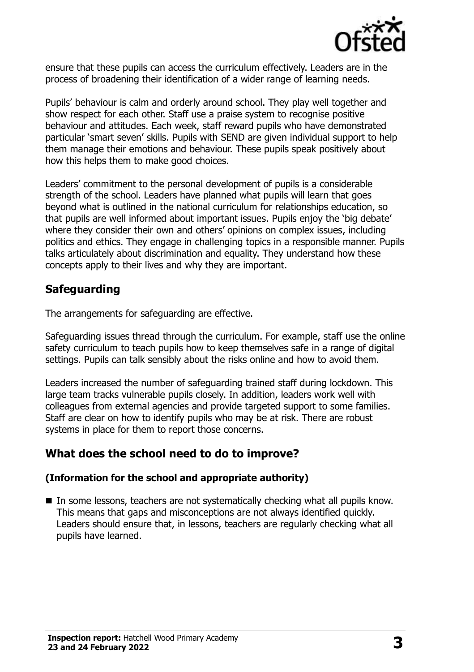

ensure that these pupils can access the curriculum effectively. Leaders are in the process of broadening their identification of a wider range of learning needs.

Pupils' behaviour is calm and orderly around school. They play well together and show respect for each other. Staff use a praise system to recognise positive behaviour and attitudes. Each week, staff reward pupils who have demonstrated particular 'smart seven' skills. Pupils with SEND are given individual support to help them manage their emotions and behaviour. These pupils speak positively about how this helps them to make good choices.

Leaders' commitment to the personal development of pupils is a considerable strength of the school. Leaders have planned what pupils will learn that goes beyond what is outlined in the national curriculum for relationships education, so that pupils are well informed about important issues. Pupils enjoy the 'big debate' where they consider their own and others' opinions on complex issues, including politics and ethics. They engage in challenging topics in a responsible manner. Pupils talks articulately about discrimination and equality. They understand how these concepts apply to their lives and why they are important.

# **Safeguarding**

The arrangements for safeguarding are effective.

Safeguarding issues thread through the curriculum. For example, staff use the online safety curriculum to teach pupils how to keep themselves safe in a range of digital settings. Pupils can talk sensibly about the risks online and how to avoid them.

Leaders increased the number of safeguarding trained staff during lockdown. This large team tracks vulnerable pupils closely. In addition, leaders work well with colleagues from external agencies and provide targeted support to some families. Staff are clear on how to identify pupils who may be at risk. There are robust systems in place for them to report those concerns.

## **What does the school need to do to improve?**

#### **(Information for the school and appropriate authority)**

■ In some lessons, teachers are not systematically checking what all pupils know. This means that gaps and misconceptions are not always identified quickly. Leaders should ensure that, in lessons, teachers are regularly checking what all pupils have learned.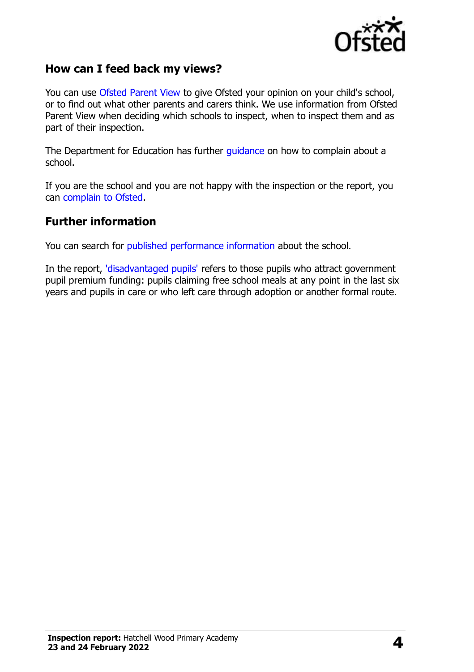

### **How can I feed back my views?**

You can use [Ofsted Parent View](http://parentview.ofsted.gov.uk/) to give Ofsted your opinion on your child's school, or to find out what other parents and carers think. We use information from Ofsted Parent View when deciding which schools to inspect, when to inspect them and as part of their inspection.

The Department for Education has further [guidance](http://www.gov.uk/complain-about-school) on how to complain about a school.

If you are the school and you are not happy with the inspection or the report, you can [complain to Ofsted.](http://www.gov.uk/complain-ofsted-report)

#### **Further information**

You can search for [published performance information](http://www.compare-school-performance.service.gov.uk/) about the school.

In the report, ['disadvantaged pupils'](http://www.gov.uk/guidance/pupil-premium-information-for-schools-and-alternative-provision-settings) refers to those pupils who attract government pupil premium funding: pupils claiming free school meals at any point in the last six years and pupils in care or who left care through adoption or another formal route.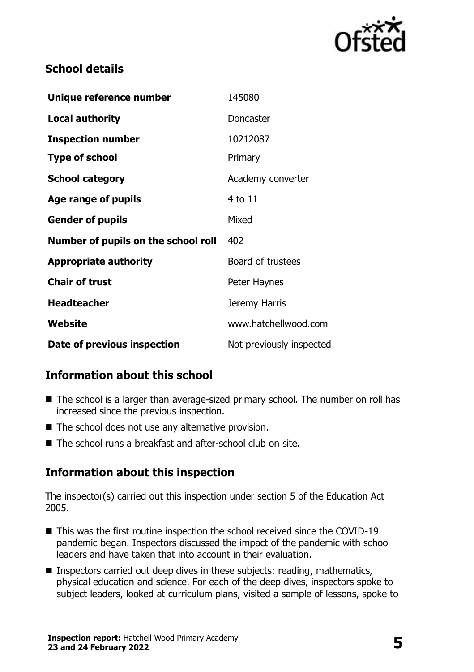

## **School details**

| Unique reference number             | 145080                   |
|-------------------------------------|--------------------------|
| <b>Local authority</b>              | Doncaster                |
| <b>Inspection number</b>            | 10212087                 |
| <b>Type of school</b>               | Primary                  |
| <b>School category</b>              | Academy converter        |
| Age range of pupils                 | $4$ to $11$              |
| <b>Gender of pupils</b>             | Mixed                    |
| Number of pupils on the school roll | 402                      |
| <b>Appropriate authority</b>        | Board of trustees        |
| <b>Chair of trust</b>               | Peter Haynes             |
| <b>Headteacher</b>                  | Jeremy Harris            |
| Website                             | www.hatchellwood.com     |
| Date of previous inspection         | Not previously inspected |

# **Information about this school**

- The school is a larger than average-sized primary school. The number on roll has increased since the previous inspection.
- The school does not use any alternative provision.
- The school runs a breakfast and after-school club on site.

# **Information about this inspection**

The inspector(s) carried out this inspection under section 5 of the Education Act 2005.

- This was the first routine inspection the school received since the COVID-19 pandemic began. Inspectors discussed the impact of the pandemic with school leaders and have taken that into account in their evaluation.
- Inspectors carried out deep dives in these subjects: reading, mathematics, physical education and science. For each of the deep dives, inspectors spoke to subject leaders, looked at curriculum plans, visited a sample of lessons, spoke to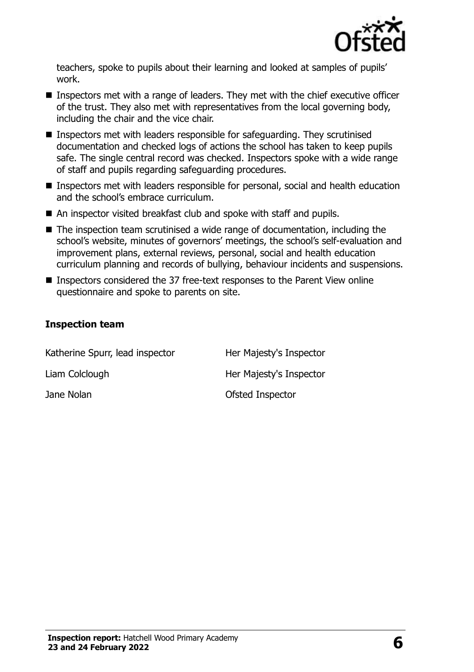

teachers, spoke to pupils about their learning and looked at samples of pupils' work.

- Inspectors met with a range of leaders. They met with the chief executive officer of the trust. They also met with representatives from the local governing body, including the chair and the vice chair.
- Inspectors met with leaders responsible for safeguarding. They scrutinised documentation and checked logs of actions the school has taken to keep pupils safe. The single central record was checked. Inspectors spoke with a wide range of staff and pupils regarding safeguarding procedures.
- Inspectors met with leaders responsible for personal, social and health education and the school's embrace curriculum.
- An inspector visited breakfast club and spoke with staff and pupils.
- The inspection team scrutinised a wide range of documentation, including the school's website, minutes of governors' meetings, the school's self-evaluation and improvement plans, external reviews, personal, social and health education curriculum planning and records of bullying, behaviour incidents and suspensions.
- Inspectors considered the 37 free-text responses to the Parent View online questionnaire and spoke to parents on site.

#### **Inspection team**

| Katherine Spurr, lead inspector | Her Majesty's Inspector |
|---------------------------------|-------------------------|
| Liam Colclough                  | Her Majesty's Inspector |
| Jane Nolan                      | Ofsted Inspector        |